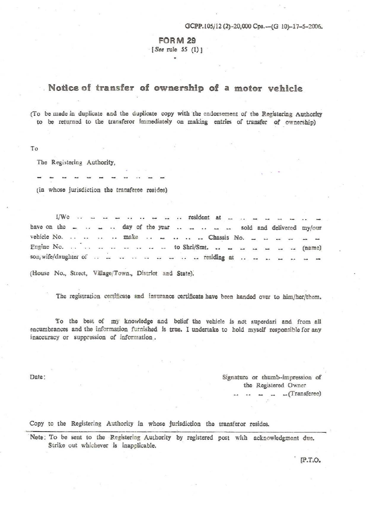## **FORM 29**

· ( See rule 55 (I) J •

## **Notice of transfer of ownership of a motor vehicle**

(To be made in duplicate and the duplicate copy with the endorsement of the Registering Authority to be returned to the transferor immediately on making entries of transfer of ownership)

To

The Registering Authority,

(in whose jurisdiction the transferee resides)

 $1/Wc$  . . . . . . . . . . . . resident at have on the \_ . \_ . day of the year . \_ . \_ . \_ sold and delivered my/our vehicle No. . . . . . make . . . . . . . Chassis No. Engine No.  $\ldots$   $\ldots$   $\ldots$   $\ldots$   $\ldots$   $\ldots$  to Shri/Smt.  $\ldots$   $\ldots$   $\ldots$   $\ldots$   $\ldots$   $\ldots$  (name) son, wife/daughter of . . residing at . .

(House No., Street, Village/Town., District and State).

The registration certificate and insurance certificate have been handed over to him/her/them.

To the best of my knowledge and belief the vehicle is not superdari and from all encumbrances and the information furnished is true. I undertake to hold myself responsible for any inaccuracy or suppression of information\_.

Date: Signature or chumb-impression of the Registered Owner -- (Transferee)

Copy to the Registering Authority in whose jurisdiction the transferor resides.

Note: To be sent to the Registering Authority by registered post with acknowledgment due. Strike out whichever is inapplicable.

(P.T.O.